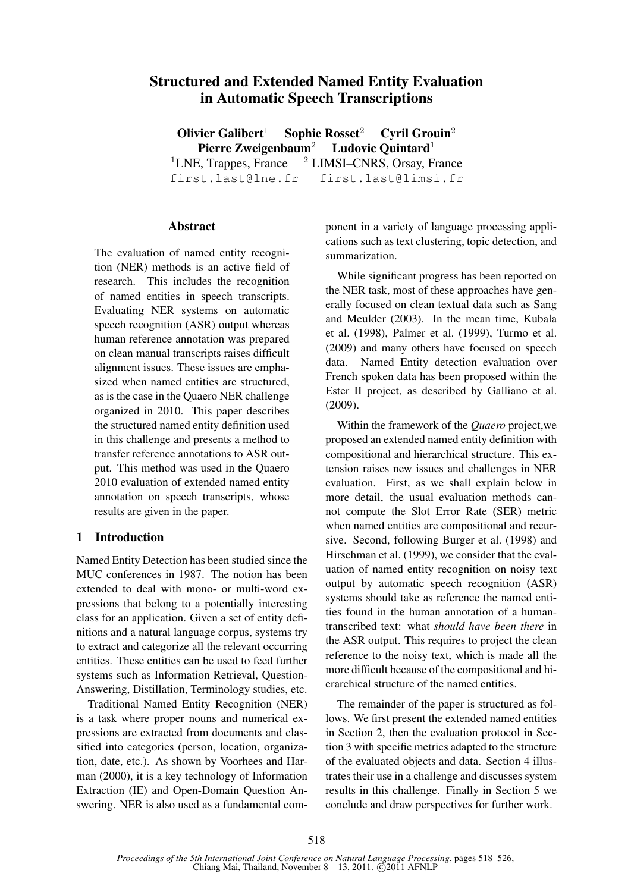# Structured and Extended Named Entity Evaluation in Automatic Speech Transcriptions

Olivier Galibert<sup>1</sup> Sophie Rosset<sup>2</sup> Cyril Grouin<sup>2</sup> Pierre Zweigenbaum<sup>2</sup> Ludovic Quintard<sup>1</sup> <sup>1</sup>LNE, Trappes, France  $^2$  LIMSI–CNRS, Orsay, France

first.last@lne.fr first.last@limsi.fr

### Abstract

The evaluation of named entity recognition (NER) methods is an active field of research. This includes the recognition of named entities in speech transcripts. Evaluating NER systems on automatic speech recognition (ASR) output whereas human reference annotation was prepared on clean manual transcripts raises difficult alignment issues. These issues are emphasized when named entities are structured, as is the case in the Quaero NER challenge organized in 2010. This paper describes the structured named entity definition used in this challenge and presents a method to transfer reference annotations to ASR output. This method was used in the Quaero 2010 evaluation of extended named entity annotation on speech transcripts, whose results are given in the paper.

### 1 Introduction

Named Entity Detection has been studied since the MUC conferences in 1987. The notion has been extended to deal with mono- or multi-word expressions that belong to a potentially interesting class for an application. Given a set of entity definitions and a natural language corpus, systems try to extract and categorize all the relevant occurring entities. These entities can be used to feed further systems such as Information Retrieval, Question-Answering, Distillation, Terminology studies, etc.

Traditional Named Entity Recognition (NER) is a task where proper nouns and numerical expressions are extracted from documents and classified into categories (person, location, organization, date, etc.). As shown by Voorhees and Harman (2000), it is a key technology of Information Extraction (IE) and Open-Domain Question Answering. NER is also used as a fundamental component in a variety of language processing applications such as text clustering, topic detection, and summarization.

While significant progress has been reported on the NER task, most of these approaches have generally focused on clean textual data such as Sang and Meulder (2003). In the mean time, Kubala et al. (1998), Palmer et al. (1999), Turmo et al. (2009) and many others have focused on speech data. Named Entity detection evaluation over French spoken data has been proposed within the Ester II project, as described by Galliano et al. (2009).

Within the framework of the *Quaero* project,we proposed an extended named entity definition with compositional and hierarchical structure. This extension raises new issues and challenges in NER evaluation. First, as we shall explain below in more detail, the usual evaluation methods cannot compute the Slot Error Rate (SER) metric when named entities are compositional and recursive. Second, following Burger et al. (1998) and Hirschman et al. (1999), we consider that the evaluation of named entity recognition on noisy text output by automatic speech recognition (ASR) systems should take as reference the named entities found in the human annotation of a humantranscribed text: what *should have been there* in the ASR output. This requires to project the clean reference to the noisy text, which is made all the more difficult because of the compositional and hierarchical structure of the named entities.

The remainder of the paper is structured as follows. We first present the extended named entities in Section 2, then the evaluation protocol in Section 3 with specific metrics adapted to the structure of the evaluated objects and data. Section 4 illustrates their use in a challenge and discusses system results in this challenge. Finally in Section 5 we conclude and draw perspectives for further work.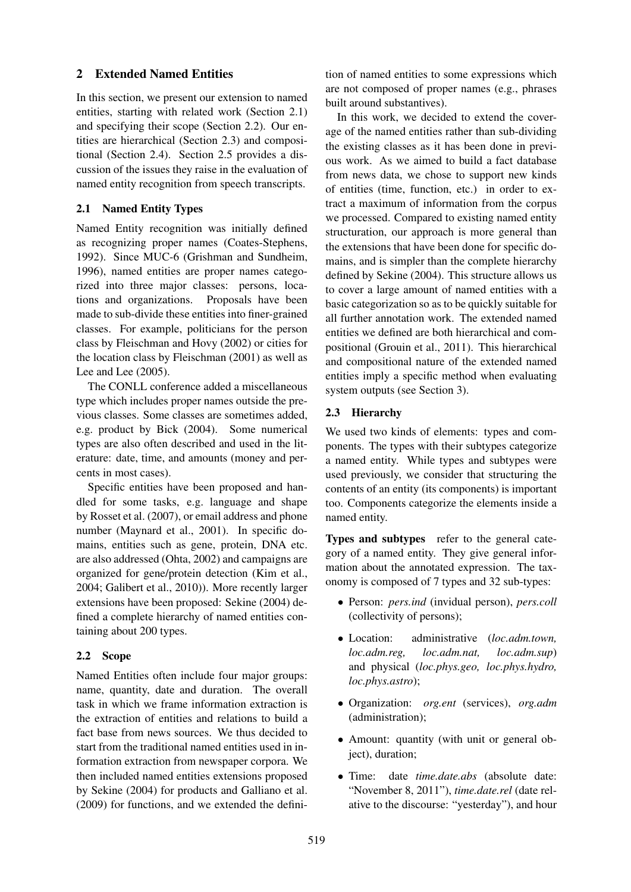## 2 Extended Named Entities

In this section, we present our extension to named entities, starting with related work (Section 2.1) and specifying their scope (Section 2.2). Our entities are hierarchical (Section 2.3) and compositional (Section 2.4). Section 2.5 provides a discussion of the issues they raise in the evaluation of named entity recognition from speech transcripts.

## 2.1 Named Entity Types

Named Entity recognition was initially defined as recognizing proper names (Coates-Stephens, 1992). Since MUC-6 (Grishman and Sundheim, 1996), named entities are proper names categorized into three major classes: persons, locations and organizations. Proposals have been made to sub-divide these entities into finer-grained classes. For example, politicians for the person class by Fleischman and Hovy (2002) or cities for the location class by Fleischman (2001) as well as Lee and Lee (2005).

The CONLL conference added a miscellaneous type which includes proper names outside the previous classes. Some classes are sometimes added, e.g. product by Bick (2004). Some numerical types are also often described and used in the literature: date, time, and amounts (money and percents in most cases).

Specific entities have been proposed and handled for some tasks, e.g. language and shape by Rosset et al. (2007), or email address and phone number (Maynard et al., 2001). In specific domains, entities such as gene, protein, DNA etc. are also addressed (Ohta, 2002) and campaigns are organized for gene/protein detection (Kim et al., 2004; Galibert et al., 2010)). More recently larger extensions have been proposed: Sekine (2004) defined a complete hierarchy of named entities containing about 200 types.

## 2.2 Scope

Named Entities often include four major groups: name, quantity, date and duration. The overall task in which we frame information extraction is the extraction of entities and relations to build a fact base from news sources. We thus decided to start from the traditional named entities used in information extraction from newspaper corpora. We then included named entities extensions proposed by Sekine (2004) for products and Galliano et al. (2009) for functions, and we extended the definition of named entities to some expressions which are not composed of proper names (e.g., phrases built around substantives).

In this work, we decided to extend the coverage of the named entities rather than sub-dividing the existing classes as it has been done in previous work. As we aimed to build a fact database from news data, we chose to support new kinds of entities (time, function, etc.) in order to extract a maximum of information from the corpus we processed. Compared to existing named entity structuration, our approach is more general than the extensions that have been done for specific domains, and is simpler than the complete hierarchy defined by Sekine (2004). This structure allows us to cover a large amount of named entities with a basic categorization so as to be quickly suitable for all further annotation work. The extended named entities we defined are both hierarchical and compositional (Grouin et al., 2011). This hierarchical and compositional nature of the extended named entities imply a specific method when evaluating system outputs (see Section 3).

## 2.3 Hierarchy

We used two kinds of elements: types and components. The types with their subtypes categorize a named entity. While types and subtypes were used previously, we consider that structuring the contents of an entity (its components) is important too. Components categorize the elements inside a named entity.

Types and subtypes refer to the general category of a named entity. They give general information about the annotated expression. The taxonomy is composed of 7 types and 32 sub-types:

- Person: *pers.ind* (invidual person), *pers.coll* (collectivity of persons);
- Location: administrative (*loc.adm.town, loc.adm.sup*) and physical (*loc.phys.geo, loc.phys.hydro, loc.phys.astro*);
- Organization: *org.ent* (services), *org.adm* (administration);
- Amount: quantity (with unit or general object), duration;
- Time: date *time.date.abs* (absolute date: "November 8, 2011"), *time.date.rel* (date relative to the discourse: "yesterday"), and hour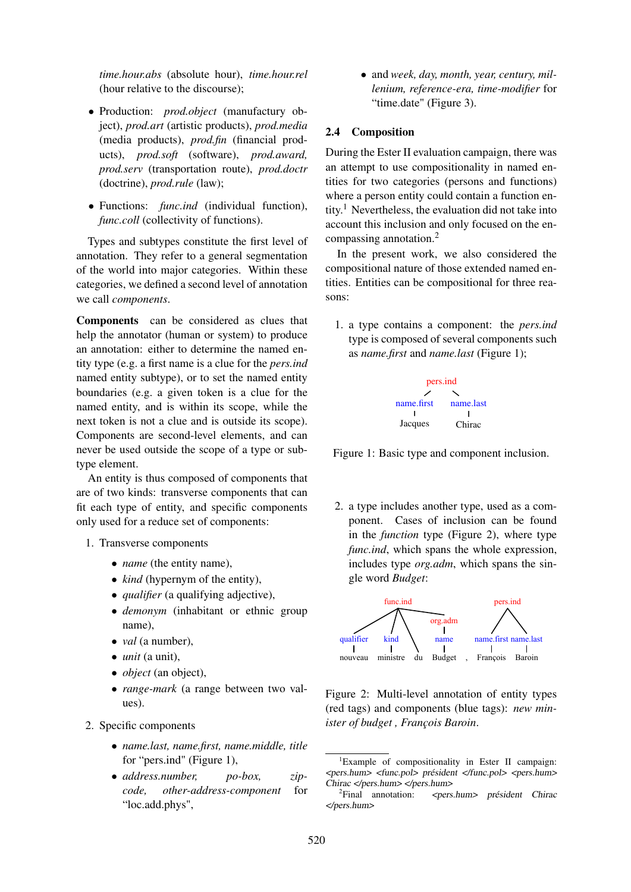*time.hour.abs* (absolute hour), *time.hour.rel* (hour relative to the discourse);

- Production: *prod.object* (manufactury object), *prod.art* (artistic products), *prod.media* (media products), *prod.fin* (financial products), *prod.soft* (software), *prod.award, prod.serv* (transportation route), *prod.doctr* (doctrine), *prod.rule* (law);
- Functions: *func.ind* (individual function), *func.coll* (collectivity of functions).

Types and subtypes constitute the first level of annotation. They refer to a general segmentation of the world into major categories. Within these categories, we defined a second level of annotation we call *components*.

Components can be considered as clues that help the annotator (human or system) to produce an annotation: either to determine the named entity type (e.g. a first name is a clue for the *pers.ind* named entity subtype), or to set the named entity boundaries (e.g. a given token is a clue for the named entity, and is within its scope, while the next token is not a clue and is outside its scope). Components are second-level elements, and can never be used outside the scope of a type or subtype element.

An entity is thus composed of components that are of two kinds: transverse components that can fit each type of entity, and specific components only used for a reduce set of components:

- 1. Transverse components
	- *name* (the entity name),
	- *kind* (hypernym of the entity),
	- *qualifier* (a qualifying adjective),
	- *demonym* (inhabitant or ethnic group name),
	- *val* (a number),
	- *unit* (a unit),
	- *object* (an object),
	- *range-mark* (a range between two values).
- 2. Specific components
	- *name.last, name.first, name.middle, title* for "pers.ind" (Figure 1),
	- *address.number, po-box, zip* $other$ -address-component "loc.add.phys",

• and *week, day, month, year, century, millenium, reference-era, time-modifier* for "time.date" (Figure 3).

### 2.4 Composition

During the Ester II evaluation campaign, there was an attempt to use compositionality in named entities for two categories (persons and functions) where a person entity could contain a function entity.<sup>1</sup> Nevertheless, the evaluation did not take into account this inclusion and only focused on the encompassing annotation.<sup>2</sup>

In the present work, we also considered the compositional nature of those extended named entities. Entities can be compositional for three reasons:

1. a type contains a component: the *pers.ind* type is composed of several components such as *name.first* and *name.last* (Figure 1);



Figure 1: Basic type and component inclusion.

2. a type includes another type, used as a component. Cases of inclusion can be found in the *function* type (Figure 2), where type *func.ind*, which spans the whole expression, includes type *org.adm*, which spans the single word *Budget*:



Figure 2: Multi-level annotation of entity types (red tags) and components (blue tags): *new minister of budget , François Baroin*.

 ${}^{1}$ Example of compositionality in Ester II campaign: <pers.hum> <func.pol> président </func.pol> <pers.hum> Chirac </pers.hum> </pers.hum>

 ${}^{2}$ Final annotation: Final annotation: <pers.hum> président Chirac </pers.hum>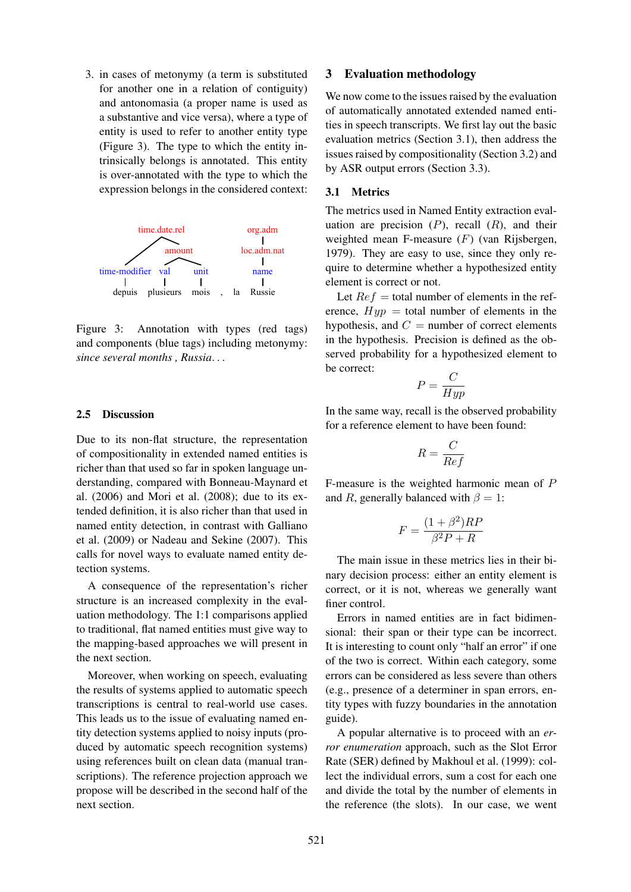3. in cases of metonymy (a term is substituted for another one in a relation of contiguity) and antonomasia (a proper name is used as a substantive and vice versa), where a type of entity is used to refer to another entity type (Figure 3). The type to which the entity intrinsically belongs is annotated. This entity is over-annotated with the type to which the expression belongs in the considered context:



Figure 3: Annotation with types (red tags) and components (blue tags) including metonymy: *since several months , Russia*. . .

### 2.5 Discussion

Due to its non-flat structure, the representation of compositionality in extended named entities is richer than that used so far in spoken language understanding, compared with Bonneau-Maynard et al. (2006) and Mori et al. (2008); due to its extended definition, it is also richer than that used in named entity detection, in contrast with Galliano et al. (2009) or Nadeau and Sekine (2007). This calls for novel ways to evaluate named entity detection systems.

A consequence of the representation's richer structure is an increased complexity in the evaluation methodology. The 1:1 comparisons applied to traditional, flat named entities must give way to the mapping-based approaches we will present in the next section.

Moreover, when working on speech, evaluating the results of systems applied to automatic speech transcriptions is central to real-world use cases. This leads us to the issue of evaluating named entity detection systems applied to noisy inputs (produced by automatic speech recognition systems) using references built on clean data (manual transcriptions). The reference projection approach we propose will be described in the second half of the next section.

#### 3 Evaluation methodology

We now come to the issues raised by the evaluation of automatically annotated extended named entities in speech transcripts. We first lay out the basic evaluation metrics (Section 3.1), then address the issues raised by compositionality (Section 3.2) and by ASR output errors (Section 3.3).

#### 3.1 Metrics

The metrics used in Named Entity extraction evaluation are precision  $(P)$ , recall  $(R)$ , and their weighted mean F-measure  $(F)$  (van Rijsbergen, 1979). They are easy to use, since they only require to determine whether a hypothesized entity element is correct or not.

Let  $Re f =$  total number of elements in the reference,  $Hyp =$  total number of elements in the hypothesis, and  $C =$  number of correct elements in the hypothesis. Precision is defined as the observed probability for a hypothesized element to be correct:

$$
P = \frac{C}{Hyp}
$$

In the same way, recall is the observed probability for a reference element to have been found:

$$
R = \frac{C}{Ref}
$$

F-measure is the weighted harmonic mean of P and R, generally balanced with  $\beta = 1$ :

$$
F = \frac{(1+\beta^2)RP}{\beta^2 P + R}
$$

The main issue in these metrics lies in their binary decision process: either an entity element is correct, or it is not, whereas we generally want finer control.

Errors in named entities are in fact bidimensional: their span or their type can be incorrect. It is interesting to count only "half an error" if one of the two is correct. Within each category, some errors can be considered as less severe than others (e.g., presence of a determiner in span errors, entity types with fuzzy boundaries in the annotation guide).

A popular alternative is to proceed with an *error enumeration* approach, such as the Slot Error Rate (SER) defined by Makhoul et al. (1999): collect the individual errors, sum a cost for each one and divide the total by the number of elements in the reference (the slots). In our case, we went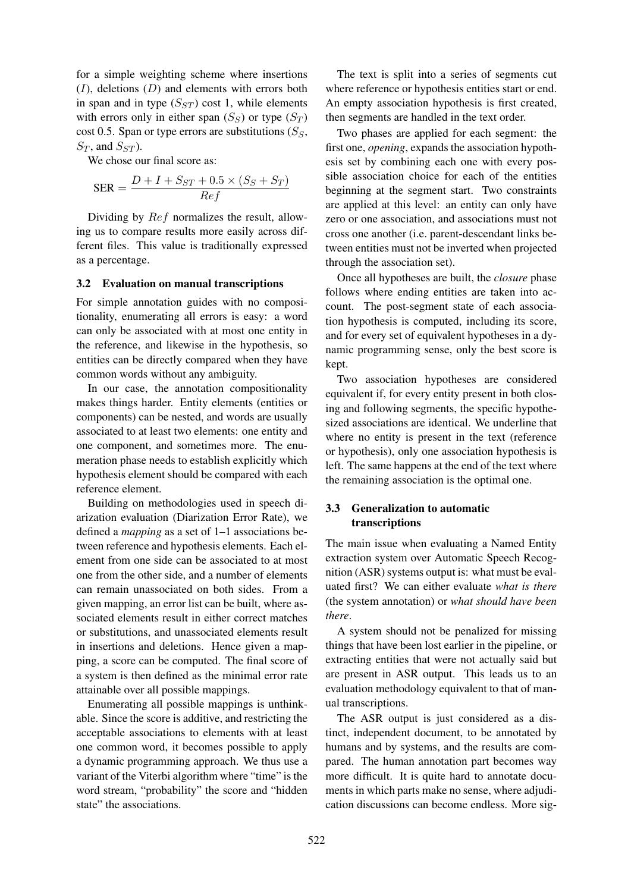for a simple weighting scheme where insertions  $(I)$ , deletions  $(D)$  and elements with errors both in span and in type  $(S_{ST})$  cost 1, while elements with errors only in either span  $(S_S)$  or type  $(S_T)$ cost 0.5. Span or type errors are substitutions  $(S_S,$  $S_T$ , and  $S_{ST}$ ).

We chose our final score as:

$$
SER = \frac{D + I + S_{ST} + 0.5 \times (S_S + S_T)}{Ref}
$$

Dividing by Ref normalizes the result, allowing us to compare results more easily across different files. This value is traditionally expressed as a percentage.

#### 3.2 Evaluation on manual transcriptions

For simple annotation guides with no compositionality, enumerating all errors is easy: a word can only be associated with at most one entity in the reference, and likewise in the hypothesis, so entities can be directly compared when they have common words without any ambiguity.

In our case, the annotation compositionality makes things harder. Entity elements (entities or components) can be nested, and words are usually associated to at least two elements: one entity and one component, and sometimes more. The enumeration phase needs to establish explicitly which hypothesis element should be compared with each reference element.

Building on methodologies used in speech diarization evaluation (Diarization Error Rate), we defined a *mapping* as a set of 1–1 associations between reference and hypothesis elements. Each element from one side can be associated to at most one from the other side, and a number of elements can remain unassociated on both sides. From a given mapping, an error list can be built, where associated elements result in either correct matches or substitutions, and unassociated elements result in insertions and deletions. Hence given a mapping, a score can be computed. The final score of a system is then defined as the minimal error rate attainable over all possible mappings.

Enumerating all possible mappings is unthinkable. Since the score is additive, and restricting the acceptable associations to elements with at least one common word, it becomes possible to apply a dynamic programming approach. We thus use a variant of the Viterbi algorithm where "time" is the word stream, "probability" the score and "hidden state" the associations.

The text is split into a series of segments cut where reference or hypothesis entities start or end. An empty association hypothesis is first created, then segments are handled in the text order.

Two phases are applied for each segment: the first one, *opening*, expands the association hypothesis set by combining each one with every possible association choice for each of the entities beginning at the segment start. Two constraints are applied at this level: an entity can only have zero or one association, and associations must not cross one another (i.e. parent-descendant links between entities must not be inverted when projected through the association set).

Once all hypotheses are built, the *closure* phase follows where ending entities are taken into account. The post-segment state of each association hypothesis is computed, including its score, and for every set of equivalent hypotheses in a dynamic programming sense, only the best score is kept.

Two association hypotheses are considered equivalent if, for every entity present in both closing and following segments, the specific hypothesized associations are identical. We underline that where no entity is present in the text (reference or hypothesis), only one association hypothesis is left. The same happens at the end of the text where the remaining association is the optimal one.

## 3.3 Generalization to automatic transcriptions

The main issue when evaluating a Named Entity extraction system over Automatic Speech Recognition (ASR) systems output is: what must be evaluated first? We can either evaluate *what is there* (the system annotation) or *what should have been there*.

A system should not be penalized for missing things that have been lost earlier in the pipeline, or extracting entities that were not actually said but are present in ASR output. This leads us to an evaluation methodology equivalent to that of manual transcriptions.

The ASR output is just considered as a distinct, independent document, to be annotated by humans and by systems, and the results are compared. The human annotation part becomes way more difficult. It is quite hard to annotate documents in which parts make no sense, where adjudication discussions can become endless. More sig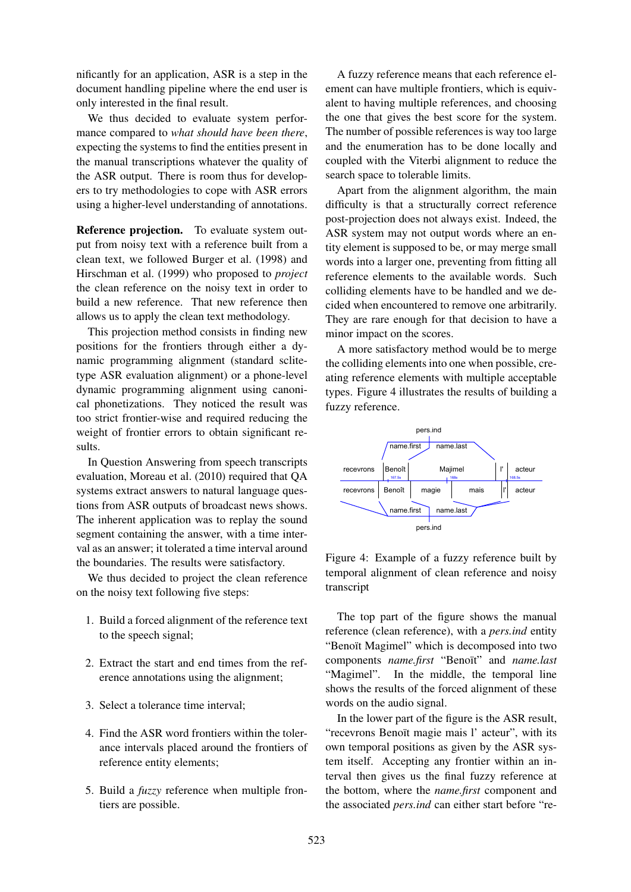nificantly for an application, ASR is a step in the document handling pipeline where the end user is only interested in the final result.

We thus decided to evaluate system performance compared to *what should have been there*, expecting the systems to find the entities present in the manual transcriptions whatever the quality of the ASR output. There is room thus for developers to try methodologies to cope with ASR errors using a higher-level understanding of annotations.

Reference projection. To evaluate system output from noisy text with a reference built from a clean text, we followed Burger et al. (1998) and Hirschman et al. (1999) who proposed to *project* the clean reference on the noisy text in order to build a new reference. That new reference then allows us to apply the clean text methodology.

This projection method consists in finding new positions for the frontiers through either a dynamic programming alignment (standard sclitetype ASR evaluation alignment) or a phone-level dynamic programming alignment using canonical phonetizations. They noticed the result was too strict frontier-wise and required reducing the weight of frontier errors to obtain significant results.

In Question Answering from speech transcripts evaluation, Moreau et al. (2010) required that QA systems extract answers to natural language questions from ASR outputs of broadcast news shows. The inherent application was to replay the sound segment containing the answer, with a time interval as an answer; it tolerated a time interval around the boundaries. The results were satisfactory.

We thus decided to project the clean reference on the noisy text following five steps:

- 1. Build a forced alignment of the reference text to the speech signal;
- 2. Extract the start and end times from the reference annotations using the alignment;
- 3. Select a tolerance time interval;
- 4. Find the ASR word frontiers within the tolerance intervals placed around the frontiers of reference entity elements;
- 5. Build a *fuzzy* reference when multiple frontiers are possible.

A fuzzy reference means that each reference element can have multiple frontiers, which is equivalent to having multiple references, and choosing the one that gives the best score for the system. The number of possible references is way too large and the enumeration has to be done locally and coupled with the Viterbi alignment to reduce the search space to tolerable limits.

Apart from the alignment algorithm, the main difficulty is that a structurally correct reference post-projection does not always exist. Indeed, the ASR system may not output words where an entity element is supposed to be, or may merge small words into a larger one, preventing from fitting all reference elements to the available words. Such colliding elements have to be handled and we decided when encountered to remove one arbitrarily. They are rare enough for that decision to have a minor impact on the scores.

A more satisfactory method would be to merge the colliding elements into one when possible, creating reference elements with multiple acceptable types. Figure 4 illustrates the results of building a fuzzy reference.



Figure 4: Example of a fuzzy reference built by temporal alignment of clean reference and noisy transcript

The top part of the figure shows the manual reference (clean reference), with a *pers.ind* entity "Benoït Magimel" which is decomposed into two components *name.first* "Benoït" and *name.last* "Magimel". In the middle, the temporal line shows the results of the forced alignment of these words on the audio signal.

In the lower part of the figure is the ASR result, "recevrons Benoït magie mais l' acteur", with its own temporal positions as given by the ASR system itself. Accepting any frontier within an interval then gives us the final fuzzy reference at the bottom, where the *name.first* component and the associated *pers.ind* can either start before "re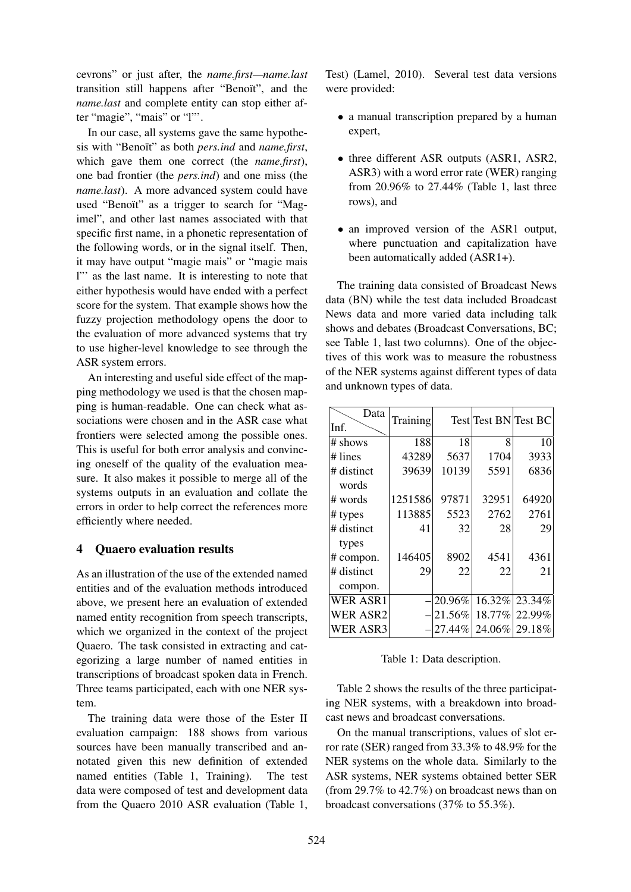cevrons" or just after, the *name.first—name.last* transition still happens after "Benoït", and the *name.last* and complete entity can stop either after "magie", "mais" or "l"'.

In our case, all systems gave the same hypothesis with "Benoït" as both *pers.ind* and *name.first*, which gave them one correct (the *name.first*), one bad frontier (the *pers.ind*) and one miss (the *name.last*). A more advanced system could have used "Benoït" as a trigger to search for "Magimel", and other last names associated with that specific first name, in a phonetic representation of the following words, or in the signal itself. Then, it may have output "magie mais" or "magie mais l"' as the last name. It is interesting to note that either hypothesis would have ended with a perfect score for the system. That example shows how the fuzzy projection methodology opens the door to the evaluation of more advanced systems that try to use higher-level knowledge to see through the ASR system errors.

An interesting and useful side effect of the mapping methodology we used is that the chosen mapping is human-readable. One can check what associations were chosen and in the ASR case what frontiers were selected among the possible ones. This is useful for both error analysis and convincing oneself of the quality of the evaluation measure. It also makes it possible to merge all of the systems outputs in an evaluation and collate the errors in order to help correct the references more efficiently where needed.

## 4 Quaero evaluation results

As an illustration of the use of the extended named entities and of the evaluation methods introduced above, we present here an evaluation of extended named entity recognition from speech transcripts, which we organized in the context of the project Quaero. The task consisted in extracting and categorizing a large number of named entities in transcriptions of broadcast spoken data in French. Three teams participated, each with one NER system.

The training data were those of the Ester II evaluation campaign: 188 shows from various sources have been manually transcribed and annotated given this new definition of extended named entities (Table 1, Training). The test data were composed of test and development data from the Quaero 2010 ASR evaluation (Table 1,

Test) (Lamel, 2010). Several test data versions were provided:

- a manual transcription prepared by a human expert,
- three different ASR outputs (ASR1, ASR2, ASR3) with a word error rate (WER) ranging from 20.96% to 27.44% (Table 1, last three rows), and
- an improved version of the ASR1 output, where punctuation and capitalization have been automatically added (ASR1+).

The training data consisted of Broadcast News data (BN) while the test data included Broadcast News data and more varied data including talk shows and debates (Broadcast Conversations, BC; see Table 1, last two columns). One of the objectives of this work was to measure the robustness of the NER systems against different types of data and unknown types of data.

| Data<br>Inf.    | Training |        | Test Test BN Test BC |               |
|-----------------|----------|--------|----------------------|---------------|
| # shows         | 188      | 18     | 8                    | 10            |
| $\#$ lines      | 43289    | 5637   | 1704                 | 3933          |
| # distinct      | 39639    | 10139  | 5591                 | 6836          |
| words           |          |        |                      |               |
| # words         | 1251586  | 97871  | 32951                | 64920         |
| # types         | 113885   | 5523   | 2762                 | 2761          |
| # distinct      | 41       | 32     | 28                   | 29            |
| types           |          |        |                      |               |
| $\#$ compon.    | 146405   | 8902   | 4541                 | 4361          |
| # distinct      | 29       | 22     | 22                   | 21            |
| compon.         |          |        |                      |               |
| <b>WER ASR1</b> |          | 20.96% | 16.32%               | 23.34%        |
| <b>WER ASR2</b> |          | 21.56% | 18.77%               | 22.99%        |
| <b>WER ASR3</b> |          | 27.44% |                      | 24.06% 29.18% |

Table 1: Data description.

Table 2 shows the results of the three participating NER systems, with a breakdown into broadcast news and broadcast conversations.

On the manual transcriptions, values of slot error rate (SER) ranged from 33.3% to 48.9% for the NER systems on the whole data. Similarly to the ASR systems, NER systems obtained better SER (from 29.7% to 42.7%) on broadcast news than on broadcast conversations (37% to 55.3%).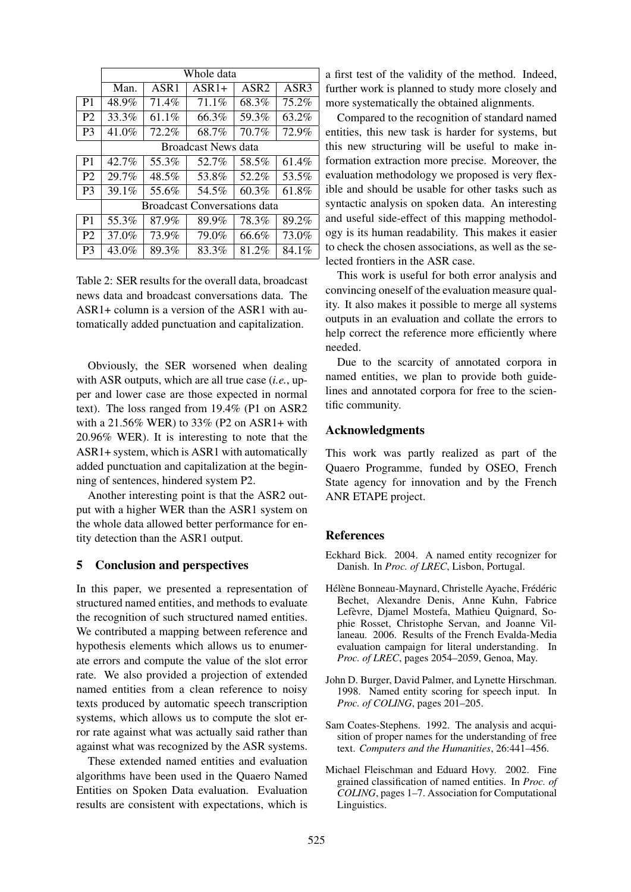|                | Whole data                          |                  |         |                  |       |  |  |
|----------------|-------------------------------------|------------------|---------|------------------|-------|--|--|
|                | Man.                                | ASR <sub>1</sub> | $ASR1+$ | ASR <sub>2</sub> | ASR3  |  |  |
| P <sub>1</sub> | 48.9%                               | 71.4%            | 71.1%   | 68.3%            | 75.2% |  |  |
| P <sub>2</sub> | 33.3%                               | $61.1\%$         | 66.3%   | 59.3%            | 63.2% |  |  |
| P <sub>3</sub> | 41.0%                               | 72.2%            | 68.7%   | 70.7%            | 72.9% |  |  |
|                | <b>Broadcast News data</b>          |                  |         |                  |       |  |  |
| P <sub>1</sub> | 42.7%                               | 55.3%            | 52.7%   | 58.5%            | 61.4% |  |  |
| P <sub>2</sub> | 29.7%                               | 48.5%            | 53.8%   | 52.2%            | 53.5% |  |  |
| P <sub>3</sub> | 39.1%                               | 55.6%            | 54.5%   | 60.3%            | 61.8% |  |  |
|                | <b>Broadcast Conversations data</b> |                  |         |                  |       |  |  |
| P <sub>1</sub> | 55.3%                               | 87.9%            | 89.9%   | 78.3%            | 89.2% |  |  |
| P <sub>2</sub> | 37.0%                               | 73.9%            | 79.0%   | 66.6%            | 73.0% |  |  |
| P <sub>3</sub> | 43.0%                               | 89.3%            | 83.3%   | 81.2%            | 84.1% |  |  |

Table 2: SER results for the overall data, broadcast news data and broadcast conversations data. The ASR1+ column is a version of the ASR1 with automatically added punctuation and capitalization.

Obviously, the SER worsened when dealing with ASR outputs, which are all true case (*i.e.*, upper and lower case are those expected in normal text). The loss ranged from 19.4% (P1 on ASR2 with a 21.56% WER) to 33% (P2 on ASR1+ with 20.96% WER). It is interesting to note that the ASR1+ system, which is ASR1 with automatically added punctuation and capitalization at the beginning of sentences, hindered system P2.

Another interesting point is that the ASR2 output with a higher WER than the ASR1 system on the whole data allowed better performance for entity detection than the ASR1 output.

## 5 Conclusion and perspectives

In this paper, we presented a representation of structured named entities, and methods to evaluate the recognition of such structured named entities. We contributed a mapping between reference and hypothesis elements which allows us to enumerate errors and compute the value of the slot error rate. We also provided a projection of extended named entities from a clean reference to noisy texts produced by automatic speech transcription systems, which allows us to compute the slot error rate against what was actually said rather than against what was recognized by the ASR systems.

These extended named entities and evaluation algorithms have been used in the Quaero Named Entities on Spoken Data evaluation. Evaluation results are consistent with expectations, which is a first test of the validity of the method. Indeed, further work is planned to study more closely and more systematically the obtained alignments.

Compared to the recognition of standard named entities, this new task is harder for systems, but this new structuring will be useful to make information extraction more precise. Moreover, the evaluation methodology we proposed is very flexible and should be usable for other tasks such as syntactic analysis on spoken data. An interesting and useful side-effect of this mapping methodology is its human readability. This makes it easier to check the chosen associations, as well as the selected frontiers in the ASR case.

This work is useful for both error analysis and convincing oneself of the evaluation measure quality. It also makes it possible to merge all systems outputs in an evaluation and collate the errors to help correct the reference more efficiently where needed.

Due to the scarcity of annotated corpora in named entities, we plan to provide both guidelines and annotated corpora for free to the scientific community.

#### Acknowledgments

This work was partly realized as part of the Quaero Programme, funded by OSEO, French State agency for innovation and by the French ANR ETAPE project.

#### **References**

- Eckhard Bick. 2004. A named entity recognizer for Danish. In *Proc. of LREC*, Lisbon, Portugal.
- Hélène Bonneau-Maynard, Christelle Ayache, Frédéric Bechet, Alexandre Denis, Anne Kuhn, Fabrice Lefèvre, Djamel Mostefa, Mathieu Quignard, Sophie Rosset, Christophe Servan, and Joanne Villaneau. 2006. Results of the French Evalda-Media evaluation campaign for literal understanding. In *Proc. of LREC*, pages 2054–2059, Genoa, May.
- John D. Burger, David Palmer, and Lynette Hirschman. 1998. Named entity scoring for speech input. In *Proc. of COLING*, pages 201–205.
- Sam Coates-Stephens. 1992. The analysis and acquisition of proper names for the understanding of free text. *Computers and the Humanities*, 26:441–456.
- Michael Fleischman and Eduard Hovy. 2002. Fine grained classification of named entities. In *Proc. of COLING*, pages 1–7. Association for Computational Linguistics.